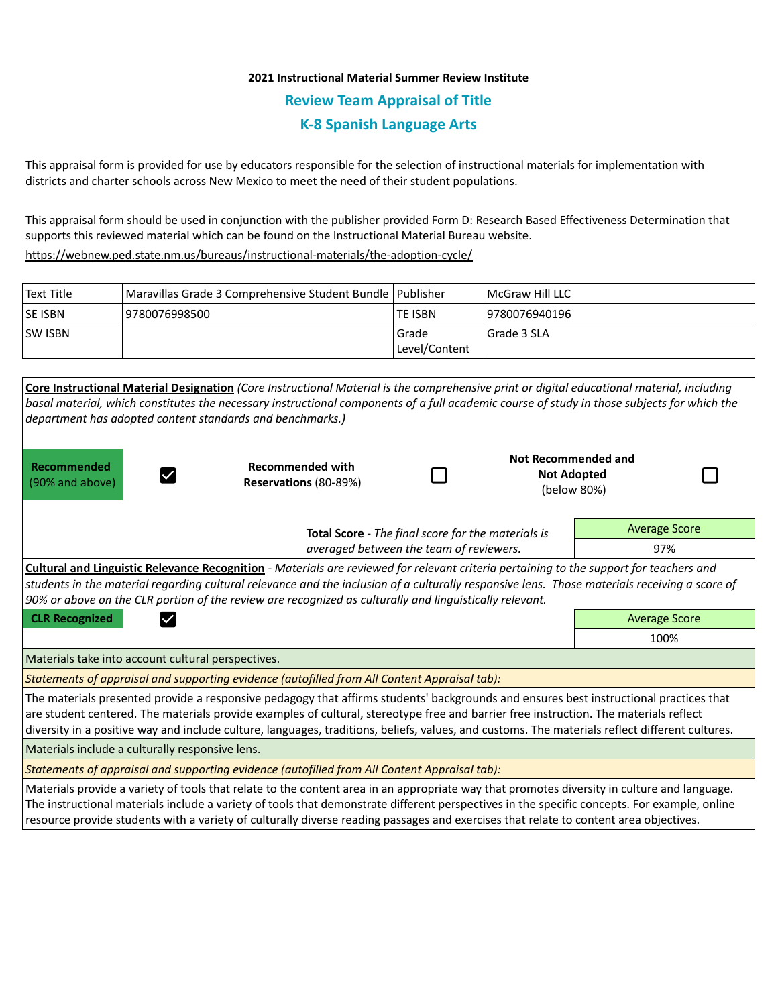## **2021 Instructional Material Summer Review Institute Review Team Appraisal of Title K-8 Spanish Language Arts**

This appraisal form is provided for use by educators responsible for the selection of instructional materials for implementation with districts and charter schools across New Mexico to meet the need of their student populations.

This appraisal form should be used in conjunction with the publisher provided Form D: Research Based Effectiveness Determination that supports this reviewed material which can be found on the Instructional Material Bureau website.

<https://webnew.ped.state.nm.us/bureaus/instructional-materials/the-adoption-cycle/>

| Text Title     | Maravillas Grade 3 Comprehensive Student Bundle   Publisher |               | <b>IMcGraw Hill LLC</b> |
|----------------|-------------------------------------------------------------|---------------|-------------------------|
| <b>SE ISBN</b> | 9780076998500                                               | ite ISBN      | 9780076940196           |
| <b>SW ISBN</b> |                                                             | l Grade       | l Grade 3 SLA           |
|                |                                                             | Level/Content |                         |

| Core Instructional Material Designation (Core Instructional Material is the comprehensive print or digital educational material, including<br>basal material, which constitutes the necessary instructional components of a full academic course of study in those subjects for which the<br>department has adopted content standards and benchmarks.)                                                                               |                                                  |  |                                                          |                      |  |  |  |
|--------------------------------------------------------------------------------------------------------------------------------------------------------------------------------------------------------------------------------------------------------------------------------------------------------------------------------------------------------------------------------------------------------------------------------------|--------------------------------------------------|--|----------------------------------------------------------|----------------------|--|--|--|
| Recommended<br>(90% and above)                                                                                                                                                                                                                                                                                                                                                                                                       | <b>Recommended with</b><br>Reservations (80-89%) |  | Not Recommended and<br><b>Not Adopted</b><br>(below 80%) |                      |  |  |  |
| Total Score - The final score for the materials is                                                                                                                                                                                                                                                                                                                                                                                   |                                                  |  |                                                          | <b>Average Score</b> |  |  |  |
| averaged between the team of reviewers.                                                                                                                                                                                                                                                                                                                                                                                              |                                                  |  |                                                          | 97%                  |  |  |  |
| Cultural and Linguistic Relevance Recognition - Materials are reviewed for relevant criteria pertaining to the support for teachers and<br>students in the material regarding cultural relevance and the inclusion of a culturally responsive lens. Those materials receiving a score of<br>90% or above on the CLR portion of the review are recognized as culturally and linguistically relevant.                                  |                                                  |  |                                                          |                      |  |  |  |
| <b>CLR Recognized</b>                                                                                                                                                                                                                                                                                                                                                                                                                |                                                  |  |                                                          | <b>Average Score</b> |  |  |  |
|                                                                                                                                                                                                                                                                                                                                                                                                                                      |                                                  |  |                                                          | 100%                 |  |  |  |
| Materials take into account cultural perspectives.                                                                                                                                                                                                                                                                                                                                                                                   |                                                  |  |                                                          |                      |  |  |  |
| Statements of appraisal and supporting evidence (autofilled from All Content Appraisal tab):                                                                                                                                                                                                                                                                                                                                         |                                                  |  |                                                          |                      |  |  |  |
| The materials presented provide a responsive pedagogy that affirms students' backgrounds and ensures best instructional practices that<br>are student centered. The materials provide examples of cultural, stereotype free and barrier free instruction. The materials reflect<br>diversity in a positive way and include culture, languages, traditions, beliefs, values, and customs. The materials reflect different cultures.   |                                                  |  |                                                          |                      |  |  |  |
| Materials include a culturally responsive lens.                                                                                                                                                                                                                                                                                                                                                                                      |                                                  |  |                                                          |                      |  |  |  |
| Statements of appraisal and supporting evidence (autofilled from All Content Appraisal tab):                                                                                                                                                                                                                                                                                                                                         |                                                  |  |                                                          |                      |  |  |  |
| Materials provide a variety of tools that relate to the content area in an appropriate way that promotes diversity in culture and language.<br>The instructional materials include a variety of tools that demonstrate different perspectives in the specific concepts. For example, online<br>resource provide students with a variety of culturally diverse reading passages and exercises that relate to content area objectives. |                                                  |  |                                                          |                      |  |  |  |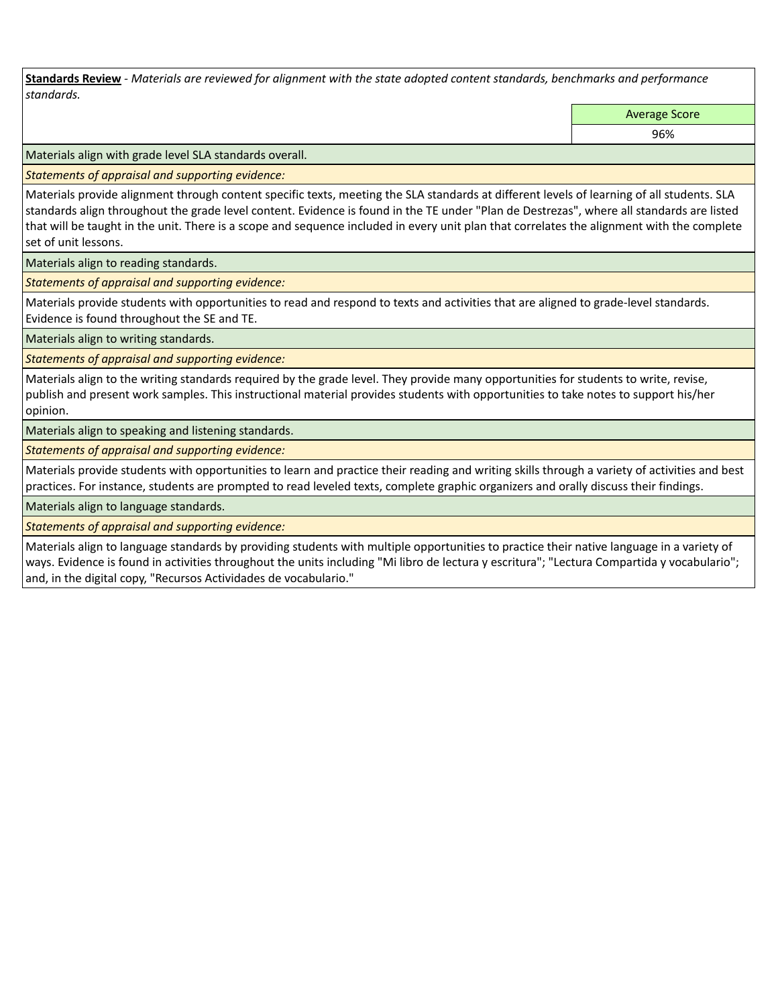**Standards Review** *- Materials are reviewed for alignment with the state adopted content standards, benchmarks and performance standards.*

Average Score

96%

Materials align with grade level SLA standards overall.

*Statements of appraisal and supporting evidence:* 

Materials provide alignment through content specific texts, meeting the SLA standards at different levels of learning of all students. SLA standards align throughout the grade level content. Evidence is found in the TE under "Plan de Destrezas", where all standards are listed that will be taught in the unit. There is a scope and sequence included in every unit plan that correlates the alignment with the complete set of unit lessons.

Materials align to reading standards.

*Statements of appraisal and supporting evidence:* 

Materials provide students with opportunities to read and respond to texts and activities that are aligned to grade-level standards. Evidence is found throughout the SE and TE.

Materials align to writing standards.

*Statements of appraisal and supporting evidence:* 

Materials align to the writing standards required by the grade level. They provide many opportunities for students to write, revise, publish and present work samples. This instructional material provides students with opportunities to take notes to support his/her opinion.

Materials align to speaking and listening standards.

*Statements of appraisal and supporting evidence:* 

Materials provide students with opportunities to learn and practice their reading and writing skills through a variety of activities and best practices. For instance, students are prompted to read leveled texts, complete graphic organizers and orally discuss their findings.

Materials align to language standards.

*Statements of appraisal and supporting evidence:* 

Materials align to language standards by providing students with multiple opportunities to practice their native language in a variety of ways. Evidence is found in activities throughout the units including "Mi libro de lectura y escritura"; "Lectura Compartida y vocabulario"; and, in the digital copy, "Recursos Actividades de vocabulario."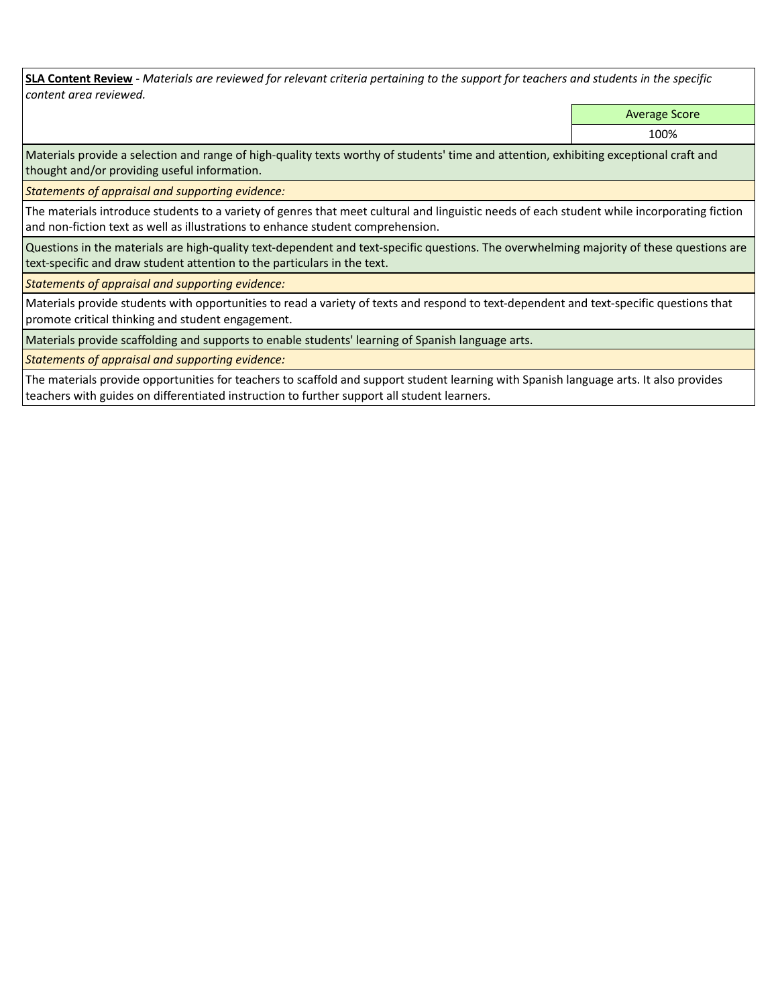**SLA Content Review** *- Materials are reviewed for relevant criteria pertaining to the support for teachers and students in the specific content area reviewed.*

Average Score

100%

Materials provide a selection and range of high-quality texts worthy of students' time and attention, exhibiting exceptional craft and thought and/or providing useful information.

*Statements of appraisal and supporting evidence:* 

The materials introduce students to a variety of genres that meet cultural and linguistic needs of each student while incorporating fiction and non-fiction text as well as illustrations to enhance student comprehension.

Questions in the materials are high-quality text-dependent and text-specific questions. The overwhelming majority of these questions are text-specific and draw student attention to the particulars in the text.

*Statements of appraisal and supporting evidence:* 

Materials provide students with opportunities to read a variety of texts and respond to text-dependent and text-specific questions that promote critical thinking and student engagement.

Materials provide scaffolding and supports to enable students' learning of Spanish language arts.

*Statements of appraisal and supporting evidence:* 

The materials provide opportunities for teachers to scaffold and support student learning with Spanish language arts. It also provides teachers with guides on differentiated instruction to further support all student learners.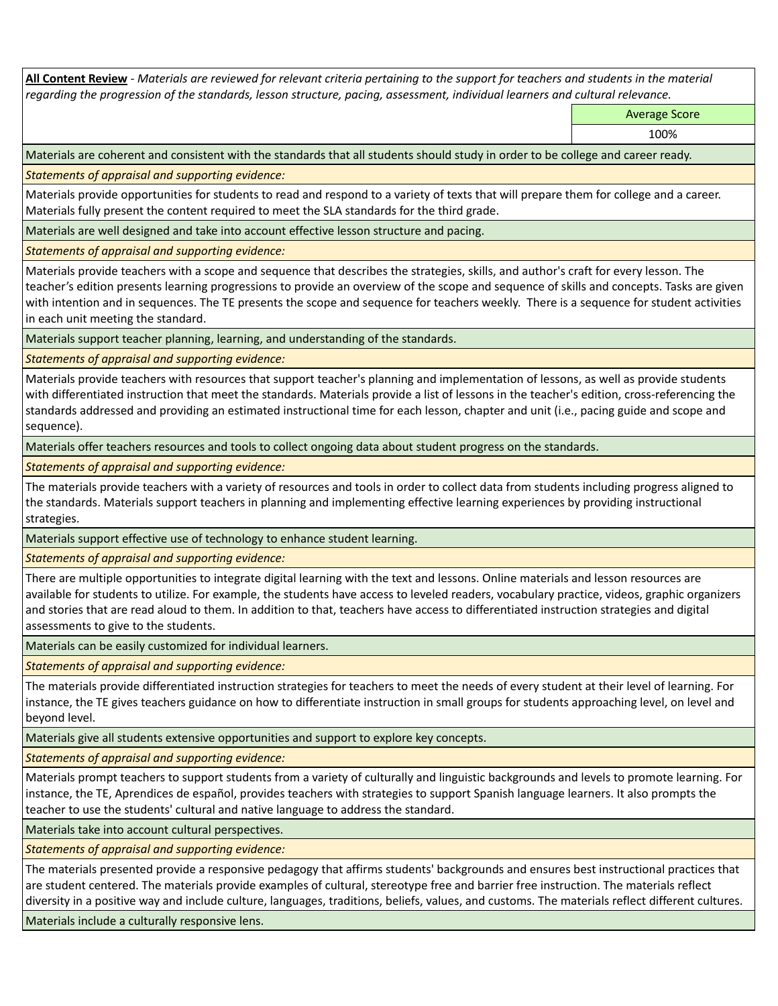**All Content Review** *- Materials are reviewed for relevant criteria pertaining to the support for teachers and students in the material regarding the progression of the standards, lesson structure, pacing, assessment, individual learners and cultural relevance.*

Average Score

Materials are coherent and consistent with the standards that all students should study in order to be college and career ready.

*Statements of appraisal and supporting evidence:*

Materials provide opportunities for students to read and respond to a variety of texts that will prepare them for college and a career. Materials fully present the content required to meet the SLA standards for the third grade.

Materials are well designed and take into account effective lesson structure and pacing.

*Statements of appraisal and supporting evidence:*

Materials provide teachers with a scope and sequence that describes the strategies, skills, and author's craft for every lesson. The teacher's edition presents learning progressions to provide an overview of the scope and sequence of skills and concepts. Tasks are given with intention and in sequences. The TE presents the scope and sequence for teachers weekly. There is a sequence for student activities in each unit meeting the standard.

Materials support teacher planning, learning, and understanding of the standards.

*Statements of appraisal and supporting evidence:*

Materials provide teachers with resources that support teacher's planning and implementation of lessons, as well as provide students with differentiated instruction that meet the standards. Materials provide a list of lessons in the teacher's edition, cross-referencing the standards addressed and providing an estimated instructional time for each lesson, chapter and unit (i.e., pacing guide and scope and sequence).

Materials offer teachers resources and tools to collect ongoing data about student progress on the standards.

*Statements of appraisal and supporting evidence:*

The materials provide teachers with a variety of resources and tools in order to collect data from students including progress aligned to the standards. Materials support teachers in planning and implementing effective learning experiences by providing instructional strategies.

Materials support effective use of technology to enhance student learning.

*Statements of appraisal and supporting evidence:*

There are multiple opportunities to integrate digital learning with the text and lessons. Online materials and lesson resources are available for students to utilize. For example, the students have access to leveled readers, vocabulary practice, videos, graphic organizers and stories that are read aloud to them. In addition to that, teachers have access to differentiated instruction strategies and digital assessments to give to the students.

Materials can be easily customized for individual learners.

*Statements of appraisal and supporting evidence:* 

The materials provide differentiated instruction strategies for teachers to meet the needs of every student at their level of learning. For instance, the TE gives teachers guidance on how to differentiate instruction in small groups for students approaching level, on level and beyond level.

Materials give all students extensive opportunities and support to explore key concepts.

*Statements of appraisal and supporting evidence:*

Materials prompt teachers to support students from a variety of culturally and linguistic backgrounds and levels to promote learning. For instance, the TE, Aprendices de español, provides teachers with strategies to support Spanish language learners. It also prompts the teacher to use the students' cultural and native language to address the standard.

Materials take into account cultural perspectives.

*Statements of appraisal and supporting evidence:*

The materials presented provide a responsive pedagogy that affirms students' backgrounds and ensures best instructional practices that are student centered. The materials provide examples of cultural, stereotype free and barrier free instruction. The materials reflect diversity in a positive way and include culture, languages, traditions, beliefs, values, and customs. The materials reflect different cultures.

Materials include a culturally responsive lens.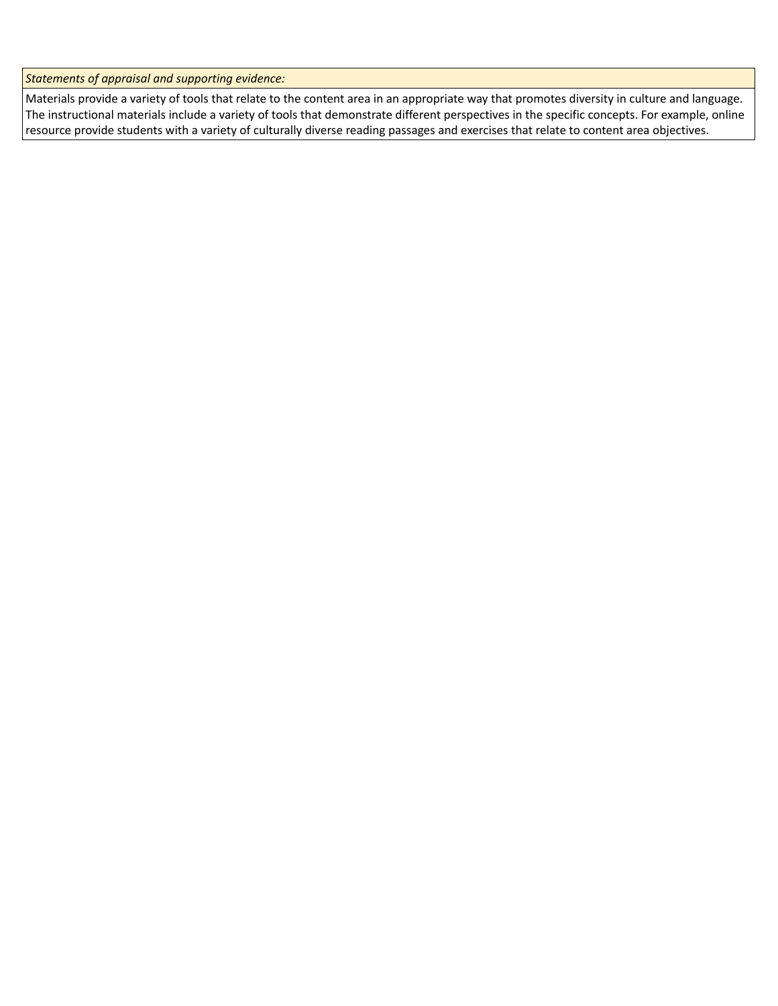*Statements of appraisal and supporting evidence:*

Materials provide a variety of tools that relate to the content area in an appropriate way that promotes diversity in culture and language. The instructional materials include a variety of tools that demonstrate different perspectives in the specific concepts. For example, online resource provide students with a variety of culturally diverse reading passages and exercises that relate to content area objectives.